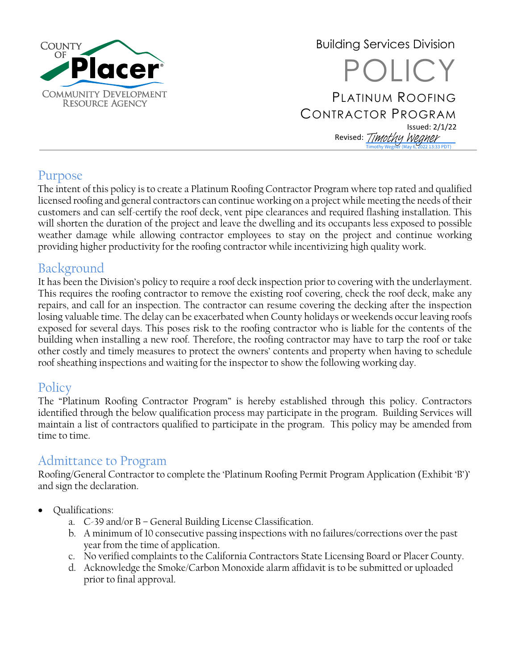

Building Services Division POLICY PLATINUM ROOFING CONTRACTOR PROGRAM Issued: 2/1/22 Revised: *[Timothy Wegner](https://na4.documents.adobe.com/verifier?tx=CBJCHBCAABAAUSRO6PhbbfW-UIJoTleRUc9h2PmE-CNv)* Timothy Wegner (May 6, 2022 13:33 PDT)

#### Purpose

The intent of this policy is to create a Platinum Roofing Contractor Program where top rated and qualified licensed roofing and general contractors can continue working on a project while meeting the needs of their customers and can self-certify the roof deck, vent pipe clearances and required flashing installation. This will shorten the duration of the project and leave the dwelling and its occupants less exposed to possible weather damage while allowing contractor employees to stay on the project and continue working providing higher productivity for the roofing contractor while incentivizing high quality work.

### Background

It has been the Division's policy to require a roof deck inspection prior to covering with the underlayment. This requires the roofing contractor to remove the existing roof covering, check the roof deck, make any repairs, and call for an inspection. The contractor can resume covering the decking after the inspection losing valuable time. The delay can be exacerbated when County holidays or weekends occur leaving roofs exposed for several days. This poses risk to the roofing contractor who is liable for the contents of the building when installing a new roof. Therefore, the roofing contractor may have to tarp the roof or take other costly and timely measures to protect the owners' contents and property when having to schedule roof sheathing inspections and waiting for the inspector to show the following working day.

#### **Policy**

The "Platinum Roofing Contractor Program" is hereby established through this policy. Contractors identified through the below qualification process may participate in the program. Building Services will maintain a list of contractors qualified to participate in the program. This policy may be amended from time to time.

### Admittance to Program

Roofing/General Contractor to complete the 'Platinum Roofing Permit Program Application (Exhibit 'B')' and sign the declaration.

- Qualifications:
	- a. C-39 and/or B General Building License Classification.
	- b. A minimum of 10 consecutive passing inspections with no failures/corrections over the past year from the time of application.
	- c. No verified complaints to the California Contractors State Licensing Board or Placer County.
	- d. Acknowledge the Smoke/Carbon Monoxide alarm affidavit is to be submitted or uploaded prior to final approval.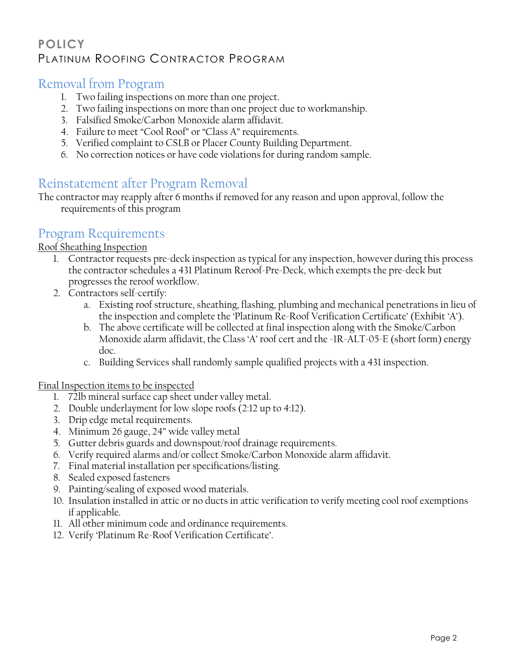#### **POLICY** PLATINUM ROOFING CONTRACTOR PROGRAM

#### Removal from Program

- 1. Two failing inspections on more than one project.
- 2. Two failing inspections on more than one project due to workmanship.
- 3. Falsified Smoke/Carbon Monoxide alarm affidavit.
- 4. Failure to meet "Cool Roof" or "Class A" requirements.
- 5. Verified complaint to CSLB or Placer County Building Department.
- 6. No correction notices or have code violations for during random sample.

#### Reinstatement after Program Removal

The contractor may reapply after 6 months if removed for any reason and upon approval, follow the requirements of this program

#### Program Requirements

#### Roof Sheathing Inspection

- 1. Contractor requests pre-deck inspection as typical for any inspection, however during this process the contractor schedules a 431 Platinum Reroof-Pre-Deck, which exempts the pre-deck but progresses the reroof workflow.
- 2. Contractors self-certify:
	- a. Existing roof structure, sheathing, flashing, plumbing and mechanical penetrations in lieu of the inspection and complete the 'Platinum Re-Roof Verification Certificate' (Exhibit 'A').
	- b. The above certificate will be collected at final inspection along with the Smoke/Carbon Monoxide alarm affidavit, the Class 'A' roof cert and the -1R-ALT-05-E (short form) energy doc.
	- c. Building Services shall randomly sample qualified projects with a 431 inspection.

Final Inspection items to be inspected

- 1. 72lb mineral surface cap sheet under valley metal.
- 2. Double underlayment for low slope roofs (2:12 up to 4:12).
- 3. Drip edge metal requirements.
- 4. Minimum 26 gauge, 24" wide valley metal
- 5. Gutter debris guards and downspout/roof drainage requirements.
- 6. Verify required alarms and/or collect Smoke/Carbon Monoxide alarm affidavit.
- 7. Final material installation per specifications/listing.
- 8. Sealed exposed fasteners
- 9. Painting/sealing of exposed wood materials.
- 10. Insulation installed in attic or no ducts in attic verification to verify meeting cool roof exemptions if applicable.
- 11. All other minimum code and ordinance requirements.
- 12. Verify 'Platinum Re-Roof Verification Certificate'.